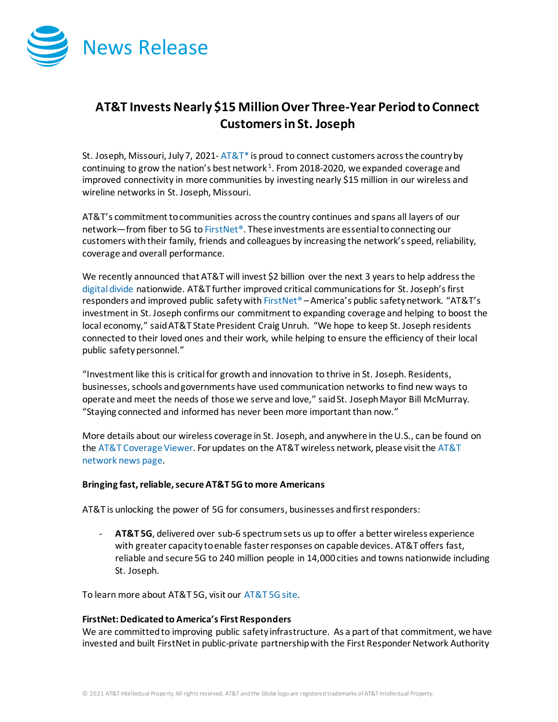

## **AT&T Invests Nearly \$15 MillionOver Three-Year Period to Connect Customersin St. Joseph**

St. Joseph, Missouri, July 7, 2021-  $AT&T^*$  is proud to connect customers across the country by continuing to grow the nation's best network  $1$ . From 2018-2020, we expanded coverage and improved connectivity in more communities by investing nearly \$15 million in our wireless and wireline networks in St. Joseph, Missouri.

AT&T's commitment to communities across the country continues and spans all layers of our network—from fiber to 5G t[o FirstNet®](http://www.firstnet.com/). These investments are essential to connecting our customers with their family, friends and colleagues by increasing the network's speed, reliability, coverage and overall performance.

We recently announced that AT&T will invest \$2 billion over the next 3 years to help address the [digital divide](https://about.att.com/story/2021/digital_divide.html) nationwide. AT&T further improved critical communications for St. Joseph'sfirst responders and improved public safety wit[h FirstNet®](http://www.firstnet.com/) – America's public safety network. "AT&T's investment in St. Joseph confirms our commitment to expanding coverage and helping to boost the local economy," said AT&T State President Craig Unruh. "We hope to keep St. Joseph residents connected to their loved ones and their work, while helping to ensure the efficiency of their local public safety personnel."

"Investment like this is critical for growth and innovation to thrive in St. Joseph. Residents, businesses, schools and governments have used communication networks to find new ways to operate and meet the needs of those we serve and love," said St. Joseph Mayor Bill McMurray. "Staying connected and informed has never been more important than now."

More details about our wireless coverage in St. Joseph, and anywhere in the U.S., can be found on th[e AT&T Coverage Viewer.](https://www.att.com/maps/wireless-coverage.html) For updates on the AT&T wireless network, please visit th[e AT&T](https://about.att.com/innovation/network_and_field_operations)  [network news page.](https://about.att.com/innovation/network_and_field_operations)

## **Bringing fast, reliable, secure AT&T 5G to more Americans**

AT&T is unlocking the power of 5G for consumers, businesses and first responders:

- **AT&T 5G**, delivered over sub-6 spectrum sets us up to offer a better wireless experience with greater capacity to enable faster responses on capable devices. AT&T offers fast, reliable and secure 5G to 240 million people in 14,000 cities and towns nationwide including St. Joseph.

To learn more about AT&T 5G, visit our [AT&T 5G site.](https://www.att.com/5g/)

## **FirstNet: Dedicated to America's First Responders**

We are committed to improving public safety infrastructure. As a part of that commitment, we have invested and built FirstNet in public-private partnership with the First Responder Network Authority